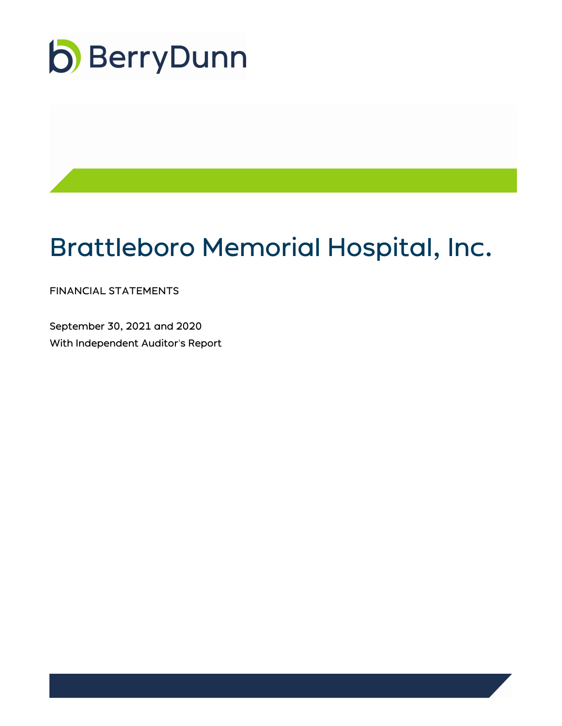

# Brattleboro Memorial Hospital, Inc.

FINANCIAL STATEMENTS

September 30, 2021 and 2020 With Independent Auditor's Report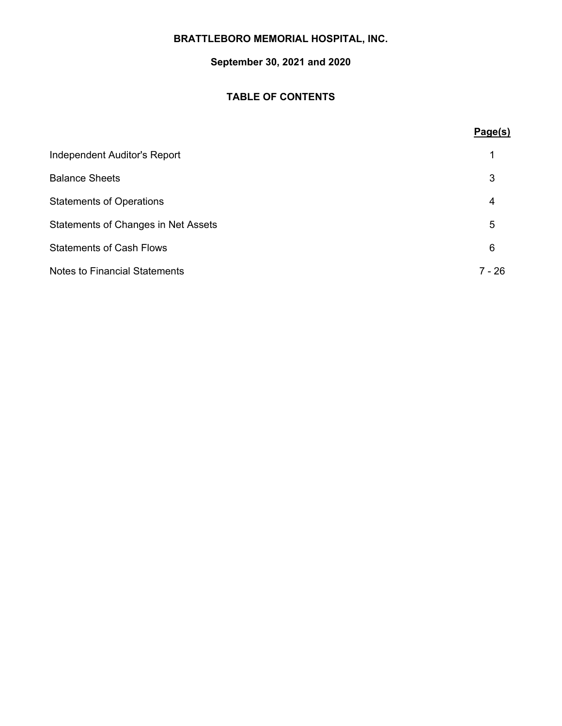# **September 30, 2021 and 2020**

# **TABLE OF CONTENTS**

# **Page(s)**

| Independent Auditor's Report               |        |
|--------------------------------------------|--------|
| <b>Balance Sheets</b>                      | 3      |
| <b>Statements of Operations</b>            | 4      |
| <b>Statements of Changes in Net Assets</b> | 5      |
| <b>Statements of Cash Flows</b>            | 6      |
| <b>Notes to Financial Statements</b>       | 7 - 26 |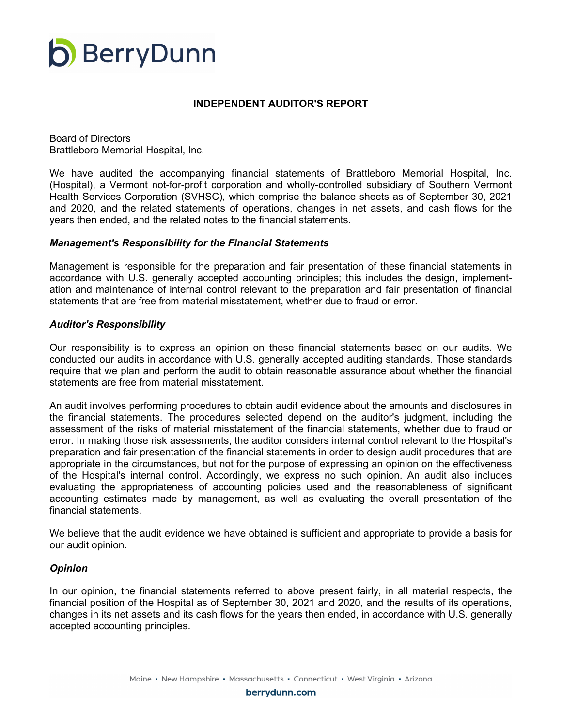

#### **INDEPENDENT AUDITOR'S REPORT**

Board of Directors Brattleboro Memorial Hospital, Inc.

We have audited the accompanying financial statements of Brattleboro Memorial Hospital, Inc. (Hospital), a Vermont not-for-profit corporation and wholly-controlled subsidiary of Southern Vermont Health Services Corporation (SVHSC), which comprise the balance sheets as of September 30, 2021 and 2020, and the related statements of operations, changes in net assets, and cash flows for the years then ended, and the related notes to the financial statements.

#### *Management's Responsibility for the Financial Statements*

Management is responsible for the preparation and fair presentation of these financial statements in accordance with U.S. generally accepted accounting principles; this includes the design, implementation and maintenance of internal control relevant to the preparation and fair presentation of financial statements that are free from material misstatement, whether due to fraud or error.

#### *Auditor's Responsibility*

Our responsibility is to express an opinion on these financial statements based on our audits. We conducted our audits in accordance with U.S. generally accepted auditing standards. Those standards require that we plan and perform the audit to obtain reasonable assurance about whether the financial statements are free from material misstatement.

An audit involves performing procedures to obtain audit evidence about the amounts and disclosures in the financial statements. The procedures selected depend on the auditor's judgment, including the assessment of the risks of material misstatement of the financial statements, whether due to fraud or error. In making those risk assessments, the auditor considers internal control relevant to the Hospital's preparation and fair presentation of the financial statements in order to design audit procedures that are appropriate in the circumstances, but not for the purpose of expressing an opinion on the effectiveness of the Hospital's internal control. Accordingly, we express no such opinion. An audit also includes evaluating the appropriateness of accounting policies used and the reasonableness of significant accounting estimates made by management, as well as evaluating the overall presentation of the financial statements.

We believe that the audit evidence we have obtained is sufficient and appropriate to provide a basis for our audit opinion.

#### *Opinion*

In our opinion, the financial statements referred to above present fairly, in all material respects, the financial position of the Hospital as of September 30, 2021 and 2020, and the results of its operations, changes in its net assets and its cash flows for the years then ended, in accordance with U.S. generally accepted accounting principles.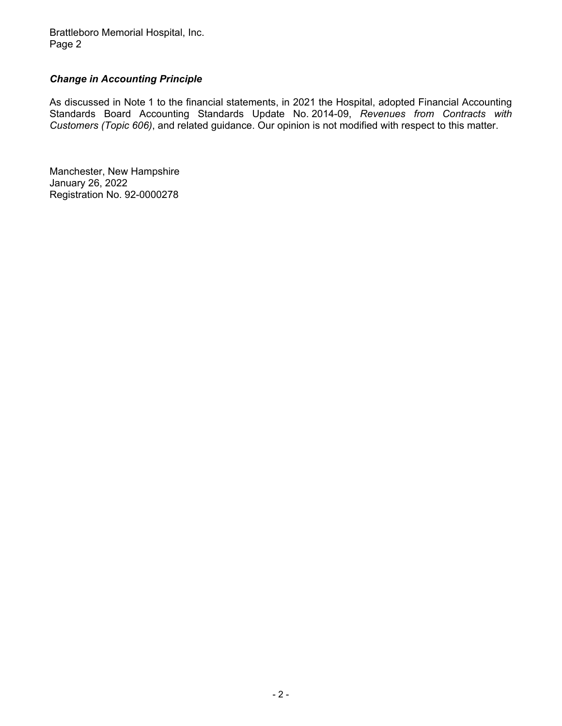Brattleboro Memorial Hospital, Inc. Page 2

# *Change in Accounting Principle*

As discussed in Note 1 to the financial statements, in 2021 the Hospital, adopted Financial Accounting Standards Board Accounting Standards Update No. 2014-09, *Revenues from Contracts with Customers (Topic 606)*, and related guidance. Our opinion is not modified with respect to this matter.

Manchester, New Hampshire January 26, 2022 Registration No. 92-0000278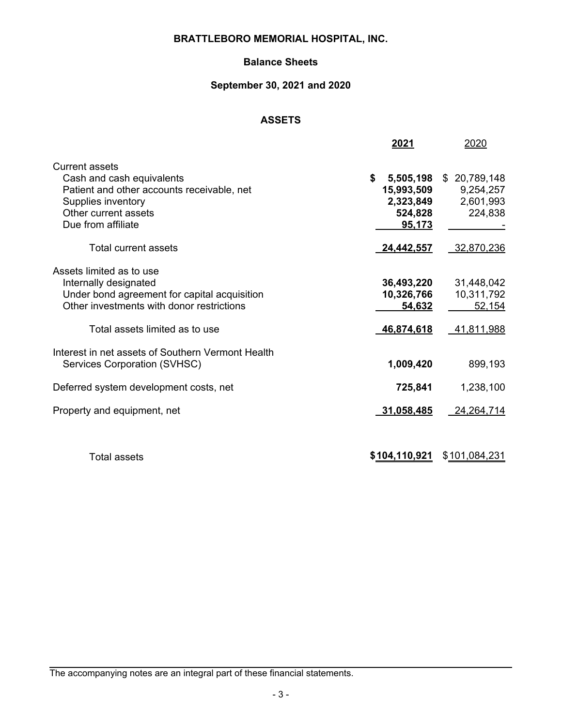# **Balance Sheets**

# **September 30, 2021 and 2020**

# **ASSETS**

|                                                                                                                                                                                  | 2021                                                            | 2020                                              |
|----------------------------------------------------------------------------------------------------------------------------------------------------------------------------------|-----------------------------------------------------------------|---------------------------------------------------|
| <b>Current assets</b><br>Cash and cash equivalents<br>Patient and other accounts receivable, net<br>Supplies inventory<br>Other current assets<br>Due from affiliate             | \$<br>5,505,198<br>15,993,509<br>2,323,849<br>524,828<br>95,173 | \$20,789,148<br>9,254,257<br>2,601,993<br>224,838 |
| <b>Total current assets</b>                                                                                                                                                      | 24,442,557                                                      | 32,870,236                                        |
| Assets limited as to use<br>Internally designated<br>Under bond agreement for capital acquisition<br>Other investments with donor restrictions<br>Total assets limited as to use | 36,493,220<br>10,326,766<br>54,632<br>46,874,618                | 31,448,042<br>10,311,792<br>52,154<br>41,811,988  |
| Interest in net assets of Southern Vermont Health<br>Services Corporation (SVHSC)                                                                                                | 1,009,420                                                       | 899,193                                           |
| Deferred system development costs, net                                                                                                                                           | 725,841                                                         | 1,238,100                                         |
| Property and equipment, net                                                                                                                                                      | 31,058,485                                                      | 24,264,714                                        |
| Total assets                                                                                                                                                                     | \$104,110,921                                                   | \$101,084,231                                     |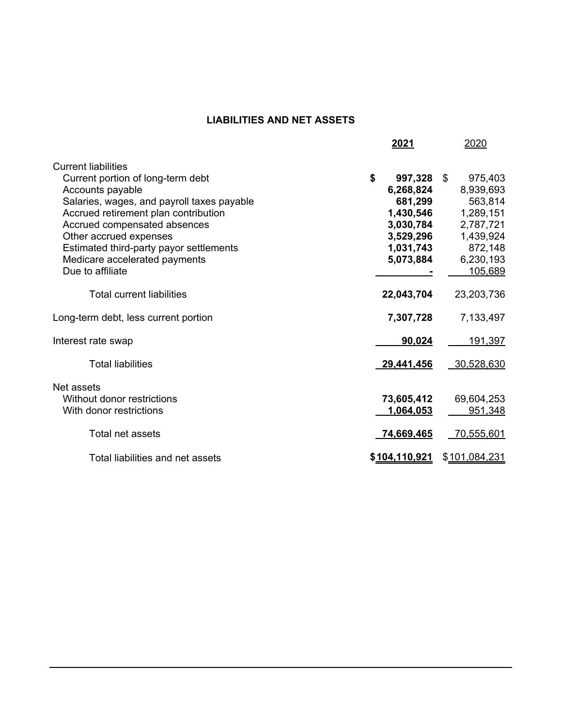# **LIABILITIES AND NET ASSETS**

|                                            | 2021          | 2020              |
|--------------------------------------------|---------------|-------------------|
| <b>Current liabilities</b>                 |               |                   |
| Current portion of long-term debt          | \$<br>997,328 | 975,403<br>- \$   |
| Accounts payable                           | 6,268,824     | 8,939,693         |
| Salaries, wages, and payroll taxes payable | 681,299       | 563,814           |
| Accrued retirement plan contribution       | 1,430,546     | 1,289,151         |
| Accrued compensated absences               | 3,030,784     | 2,787,721         |
| Other accrued expenses                     | 3,529,296     | 1,439,924         |
| Estimated third-party payor settlements    | 1,031,743     | 872,148           |
| Medicare accelerated payments              | 5,073,884     | 6,230,193         |
| Due to affiliate                           |               | 105,689           |
| <b>Total current liabilities</b>           | 22,043,704    | 23,203,736        |
| Long-term debt, less current portion       | 7,307,728     | 7,133,497         |
| Interest rate swap                         | 90,024        | 191,397           |
| <b>Total liabilities</b>                   | 29,441,456    | 30,528,630        |
| Net assets                                 |               |                   |
| Without donor restrictions                 | 73,605,412    | 69,604,253        |
| With donor restrictions                    | 1,064,053     | 951,348           |
|                                            |               |                   |
| Total net assets                           | 74,669,465    | <u>70,555,601</u> |
| Total liabilities and net assets           | \$104,110,921 | \$101,084,231     |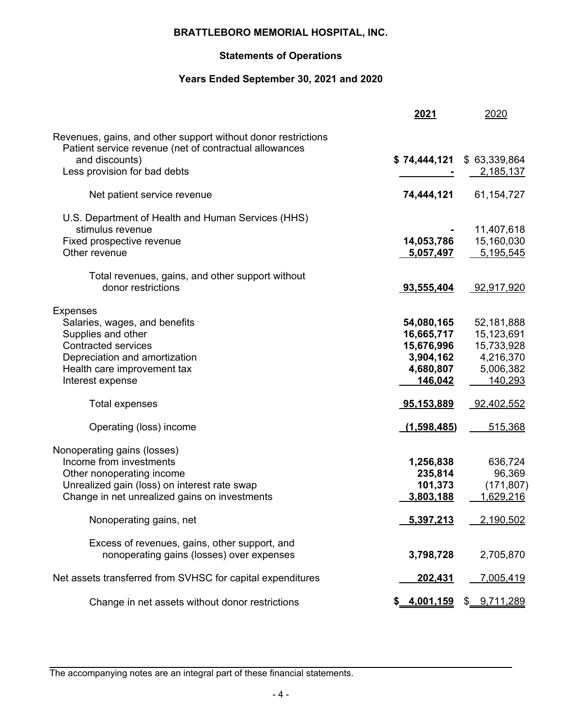# **Statements of Operations**

# **Years Ended September 30, 2021 and 2020**

|                                                                                                                         | 2021                     | 2020                       |
|-------------------------------------------------------------------------------------------------------------------------|--------------------------|----------------------------|
| Revenues, gains, and other support without donor restrictions<br>Patient service revenue (net of contractual allowances |                          |                            |
| and discounts)<br>Less provision for bad debts                                                                          | \$74,444,121             | \$ 63,339,864<br>2,185,137 |
| Net patient service revenue                                                                                             | 74,444,121               | 61,154,727                 |
| U.S. Department of Health and Human Services (HHS)<br>stimulus revenue                                                  |                          | 11,407,618                 |
| Fixed prospective revenue                                                                                               | 14,053,786               | 15,160,030                 |
| Other revenue                                                                                                           | 5,057,497                | 5,195,545                  |
| Total revenues, gains, and other support without                                                                        |                          |                            |
| donor restrictions                                                                                                      | 93,555,404               | 92,917,920                 |
| <b>Expenses</b>                                                                                                         |                          |                            |
| Salaries, wages, and benefits<br>Supplies and other                                                                     | 54,080,165<br>16,665,717 | 52,181,888<br>15,123,691   |
| <b>Contracted services</b>                                                                                              | 15,676,996               | 15,733,928                 |
| Depreciation and amortization                                                                                           | 3,904,162                | 4,216,370                  |
| Health care improvement tax                                                                                             | 4,680,807                | 5,006,382                  |
| Interest expense                                                                                                        | 146,042                  | 140,293                    |
| Total expenses                                                                                                          | 95,153,889               | 92,402,552                 |
| Operating (loss) income                                                                                                 | (1,598,485)              | 515,368                    |
| Nonoperating gains (losses)                                                                                             |                          |                            |
| Income from investments                                                                                                 | 1,256,838                | 636,724                    |
| Other nonoperating income                                                                                               | 235,814                  | 96,369                     |
| Unrealized gain (loss) on interest rate swap                                                                            | 101,373                  | (171, 807)                 |
| Change in net unrealized gains on investments                                                                           | 3,803,188                | 1,629,216                  |
| Nonoperating gains, net                                                                                                 | 5,397,213                | 2,190,502                  |
| Excess of revenues, gains, other support, and                                                                           |                          |                            |
| nonoperating gains (losses) over expenses                                                                               | 3,798,728                | 2,705,870                  |
| Net assets transferred from SVHSC for capital expenditures                                                              | 202,431                  | <u>7,005,419</u>           |
| Change in net assets without donor restrictions                                                                         | \$ 4,001,159             | \$ 9,711,289               |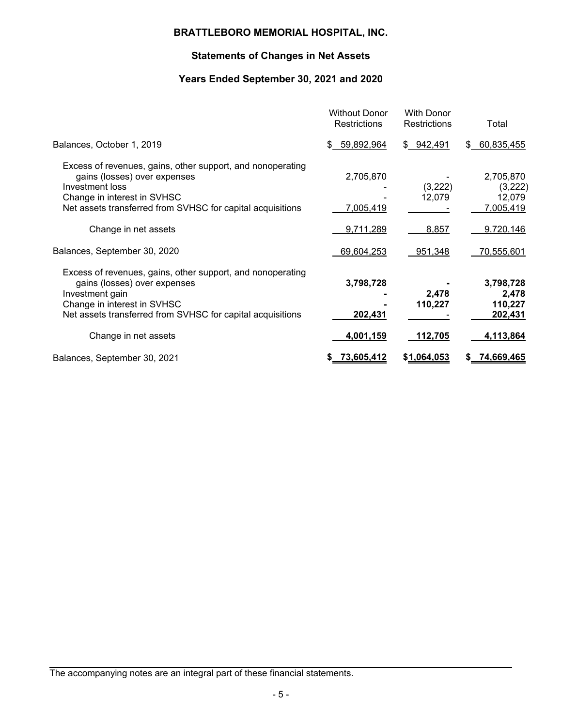# **Statements of Changes in Net Assets**

# **Years Ended September 30, 2021 and 2020**

|                                                                                                                                                                                                            | <b>Without Donor</b><br>Restrictions | <b>With Donor</b><br>Restrictions | Total                                       |
|------------------------------------------------------------------------------------------------------------------------------------------------------------------------------------------------------------|--------------------------------------|-----------------------------------|---------------------------------------------|
| Balances, October 1, 2019                                                                                                                                                                                  | 59,892,964<br>\$                     | \$ 942,491                        | \$60,835,455                                |
| Excess of revenues, gains, other support, and nonoperating<br>gains (losses) over expenses<br>Investment loss<br>Change in interest in SVHSC<br>Net assets transferred from SVHSC for capital acquisitions | 2,705,870<br>7,005,419               | (3,222)<br>12,079                 | 2,705,870<br>(3,222)<br>12,079<br>7,005,419 |
| Change in net assets                                                                                                                                                                                       | 9,711,289                            | 8,857                             | 9,720,146                                   |
| Balances, September 30, 2020                                                                                                                                                                               | 69,604,253                           | 951,348                           | 70,555,601                                  |
| Excess of revenues, gains, other support, and nonoperating<br>gains (losses) over expenses<br>Investment gain<br>Change in interest in SVHSC<br>Net assets transferred from SVHSC for capital acquisitions | 3,798,728<br>202,431                 | 2,478<br>110,227                  | 3,798,728<br>2,478<br>110,227<br>202,431    |
| Change in net assets                                                                                                                                                                                       | 4,001,159                            | 112,705                           | 4,113,864                                   |
| Balances, September 30, 2021                                                                                                                                                                               | 73,605,412                           | \$1,064,053                       | <u>74,669,465</u>                           |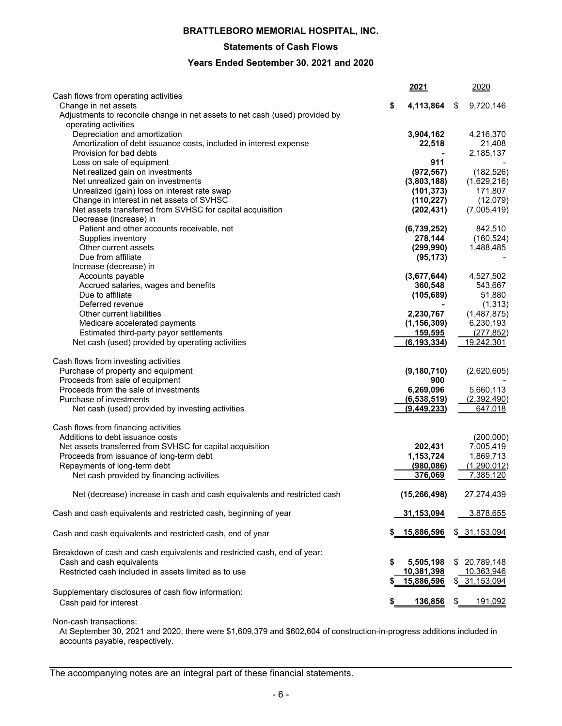#### **Statements of Cash Flows**

#### **Years Ended September 30, 2021 and 2020**

|                                                                              |    | <u> 2021</u>   | 2020             |
|------------------------------------------------------------------------------|----|----------------|------------------|
| Cash flows from operating activities                                         |    |                |                  |
| Change in net assets                                                         | \$ | 4,113,864      | \$<br>9,720,146  |
| Adjustments to reconcile change in net assets to net cash (used) provided by |    |                |                  |
| operating activities<br>Depreciation and amortization                        |    | 3,904,162      | 4,216,370        |
| Amortization of debt issuance costs, included in interest expense            |    | 22,518         | 21,408           |
| Provision for bad debts                                                      |    |                | 2,185,137        |
| Loss on sale of equipment                                                    |    | 911            |                  |
| Net realized gain on investments                                             |    | (972, 567)     | (182, 526)       |
| Net unrealized gain on investments                                           |    | (3,803,188)    | (1,629,216)      |
| Unrealized (gain) loss on interest rate swap                                 |    | (101, 373)     | 171,807          |
| Change in interest in net assets of SVHSC                                    |    | (110, 227)     | (12,079)         |
| Net assets transferred from SVHSC for capital acquisition                    |    | (202, 431)     | (7,005,419)      |
| Decrease (increase) in                                                       |    |                |                  |
| Patient and other accounts receivable, net                                   |    | (6,739,252)    | 842,510          |
| Supplies inventory                                                           |    | 278,144        | (160, 524)       |
| Other current assets                                                         |    | (299, 990)     | 1,488,485        |
| Due from affiliate                                                           |    | (95, 173)      |                  |
| Increase (decrease) in                                                       |    |                |                  |
| Accounts payable                                                             |    | (3,677,644)    | 4,527,502        |
| Accrued salaries, wages and benefits                                         |    | 360,548        | 543,667          |
| Due to affiliate                                                             |    | (105, 689)     | 51,880           |
| Deferred revenue                                                             |    |                | (1, 313)         |
| Other current liabilities                                                    |    | 2,230,767      | (1,487,875)      |
| Medicare accelerated payments                                                |    | (1, 156, 309)  | 6,230,193        |
| Estimated third-party payor settlements                                      |    | 159,595        | (277, 852)       |
| Net cash (used) provided by operating activities                             |    | (6, 193, 334)  | 19,242,301       |
|                                                                              |    |                |                  |
| Cash flows from investing activities                                         |    |                |                  |
| Purchase of property and equipment                                           |    | (9, 180, 710)  | (2,620,605)      |
| Proceeds from sale of equipment                                              |    | 900            |                  |
| Proceeds from the sale of investments                                        |    | 6,269,096      | 5,660,113        |
| Purchase of investments                                                      |    | (6,538,519)    | (2,392,490)      |
| Net cash (used) provided by investing activities                             |    | (9,449,233)    | 647,018          |
| Cash flows from financing activities                                         |    |                |                  |
| Additions to debt issuance costs                                             |    |                | (200,000)        |
| Net assets transferred from SVHSC for capital acquisition                    |    | 202,431        | 7,005,419        |
| Proceeds from issuance of long-term debt                                     |    | 1,153,724      | 1,869,713        |
| Repayments of long-term debt                                                 |    | (980, 086)     | (1,290,012)      |
| Net cash provided by financing activities                                    |    | 376,069        | 7,385,120        |
| Net (decrease) increase in cash and cash equivalents and restricted cash     |    | (15, 266, 498) | 27,274,439       |
| Cash and cash equivalents and restricted cash, beginning of year             |    | 31,153,094     | 3,878,655        |
|                                                                              |    | \$ 15,886,596  |                  |
| Cash and cash equivalents and restricted cash, end of year                   |    |                | \$ 31,153,094    |
| Breakdown of cash and cash equivalents and restricted cash, end of year:     |    |                |                  |
| Cash and cash equivalents                                                    | S  | 5,505,198      | \$<br>20,789,148 |
| Restricted cash included in assets limited as to use                         |    | 10,381,398     | 10,363,946       |
|                                                                              |    | 15,886,596     | \$ 31,153,094    |
| Supplementary disclosures of cash flow information:                          |    |                |                  |
| Cash paid for interest                                                       |    | 136,856        | \$<br>191,092    |
|                                                                              |    |                |                  |

Non-cash transactions:

At September 30, 2021 and 2020, there were \$1,609,379 and \$602,604 of construction-in-progress additions included in accounts payable, respectively.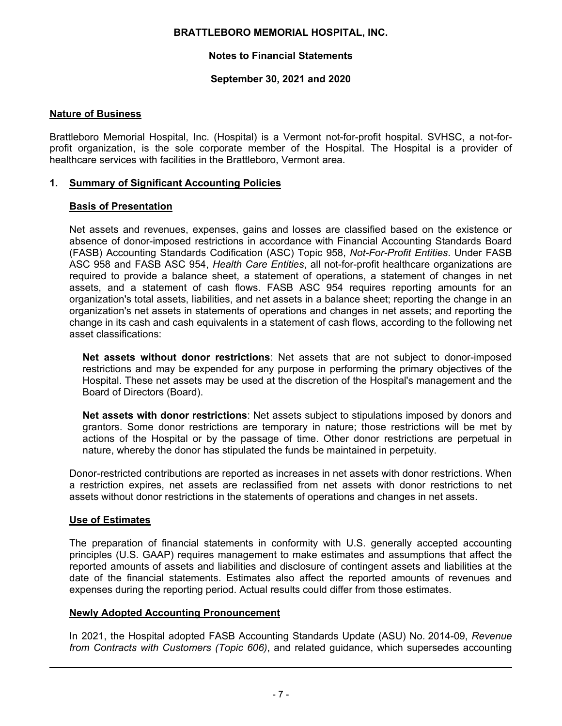# **Notes to Financial Statements**

## **September 30, 2021 and 2020**

#### **Nature of Business**

Brattleboro Memorial Hospital, Inc. (Hospital) is a Vermont not-for-profit hospital. SVHSC, a not-forprofit organization, is the sole corporate member of the Hospital. The Hospital is a provider of healthcare services with facilities in the Brattleboro, Vermont area.

#### **1. Summary of Significant Accounting Policies**

#### **Basis of Presentation**

Net assets and revenues, expenses, gains and losses are classified based on the existence or absence of donor-imposed restrictions in accordance with Financial Accounting Standards Board (FASB) Accounting Standards Codification (ASC) Topic 958, *Not-For-Profit Entities*. Under FASB ASC 958 and FASB ASC 954, *Health Care Entities*, all not-for-profit healthcare organizations are required to provide a balance sheet, a statement of operations, a statement of changes in net assets, and a statement of cash flows. FASB ASC 954 requires reporting amounts for an organization's total assets, liabilities, and net assets in a balance sheet; reporting the change in an organization's net assets in statements of operations and changes in net assets; and reporting the change in its cash and cash equivalents in a statement of cash flows, according to the following net asset classifications:

**Net assets without donor restrictions**: Net assets that are not subject to donor-imposed restrictions and may be expended for any purpose in performing the primary objectives of the Hospital. These net assets may be used at the discretion of the Hospital's management and the Board of Directors (Board).

**Net assets with donor restrictions**: Net assets subject to stipulations imposed by donors and grantors. Some donor restrictions are temporary in nature; those restrictions will be met by actions of the Hospital or by the passage of time. Other donor restrictions are perpetual in nature, whereby the donor has stipulated the funds be maintained in perpetuity.

Donor-restricted contributions are reported as increases in net assets with donor restrictions. When a restriction expires, net assets are reclassified from net assets with donor restrictions to net assets without donor restrictions in the statements of operations and changes in net assets.

#### **Use of Estimates**

The preparation of financial statements in conformity with U.S. generally accepted accounting principles (U.S. GAAP) requires management to make estimates and assumptions that affect the reported amounts of assets and liabilities and disclosure of contingent assets and liabilities at the date of the financial statements. Estimates also affect the reported amounts of revenues and expenses during the reporting period. Actual results could differ from those estimates.

#### **Newly Adopted Accounting Pronouncement**

In 2021, the Hospital adopted FASB Accounting Standards Update (ASU) No. 2014-09, *Revenue from Contracts with Customers (Topic 606)*, and related guidance, which supersedes accounting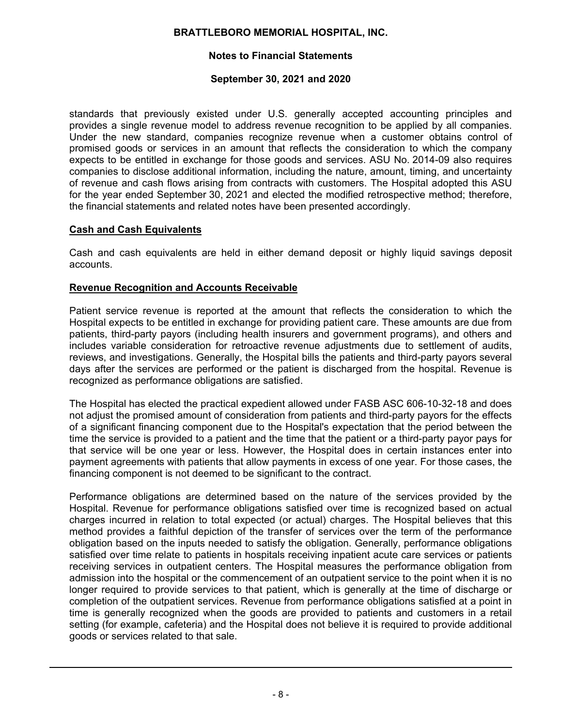# **Notes to Financial Statements**

#### **September 30, 2021 and 2020**

standards that previously existed under U.S. generally accepted accounting principles and provides a single revenue model to address revenue recognition to be applied by all companies. Under the new standard, companies recognize revenue when a customer obtains control of promised goods or services in an amount that reflects the consideration to which the company expects to be entitled in exchange for those goods and services. ASU No. 2014-09 also requires companies to disclose additional information, including the nature, amount, timing, and uncertainty of revenue and cash flows arising from contracts with customers. The Hospital adopted this ASU for the year ended September 30, 2021 and elected the modified retrospective method; therefore, the financial statements and related notes have been presented accordingly.

## **Cash and Cash Equivalents**

Cash and cash equivalents are held in either demand deposit or highly liquid savings deposit accounts.

## **Revenue Recognition and Accounts Receivable**

Patient service revenue is reported at the amount that reflects the consideration to which the Hospital expects to be entitled in exchange for providing patient care. These amounts are due from patients, third-party payors (including health insurers and government programs), and others and includes variable consideration for retroactive revenue adjustments due to settlement of audits, reviews, and investigations. Generally, the Hospital bills the patients and third-party payors several days after the services are performed or the patient is discharged from the hospital. Revenue is recognized as performance obligations are satisfied.

The Hospital has elected the practical expedient allowed under FASB ASC 606-10-32-18 and does not adjust the promised amount of consideration from patients and third-party payors for the effects of a significant financing component due to the Hospital's expectation that the period between the time the service is provided to a patient and the time that the patient or a third-party payor pays for that service will be one year or less. However, the Hospital does in certain instances enter into payment agreements with patients that allow payments in excess of one year. For those cases, the financing component is not deemed to be significant to the contract.

Performance obligations are determined based on the nature of the services provided by the Hospital. Revenue for performance obligations satisfied over time is recognized based on actual charges incurred in relation to total expected (or actual) charges. The Hospital believes that this method provides a faithful depiction of the transfer of services over the term of the performance obligation based on the inputs needed to satisfy the obligation. Generally, performance obligations satisfied over time relate to patients in hospitals receiving inpatient acute care services or patients receiving services in outpatient centers. The Hospital measures the performance obligation from admission into the hospital or the commencement of an outpatient service to the point when it is no longer required to provide services to that patient, which is generally at the time of discharge or completion of the outpatient services. Revenue from performance obligations satisfied at a point in time is generally recognized when the goods are provided to patients and customers in a retail setting (for example, cafeteria) and the Hospital does not believe it is required to provide additional goods or services related to that sale.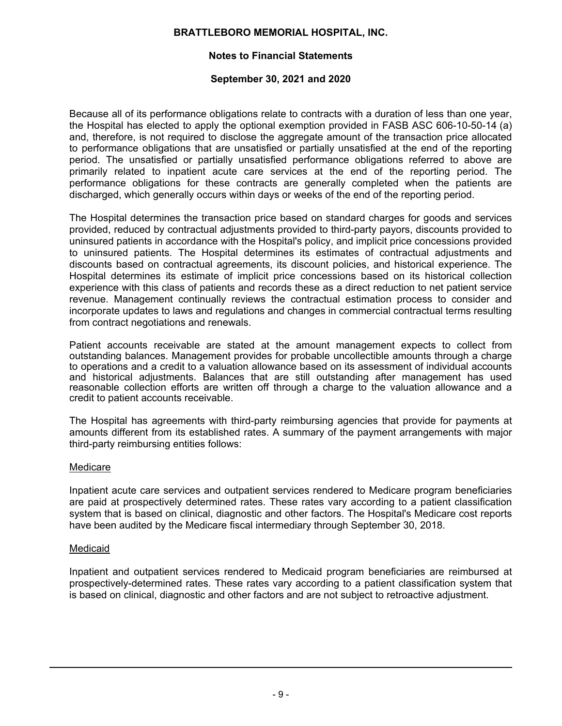# **Notes to Financial Statements**

#### **September 30, 2021 and 2020**

Because all of its performance obligations relate to contracts with a duration of less than one year, the Hospital has elected to apply the optional exemption provided in FASB ASC 606-10-50-14 (a) and, therefore, is not required to disclose the aggregate amount of the transaction price allocated to performance obligations that are unsatisfied or partially unsatisfied at the end of the reporting period. The unsatisfied or partially unsatisfied performance obligations referred to above are primarily related to inpatient acute care services at the end of the reporting period. The performance obligations for these contracts are generally completed when the patients are discharged, which generally occurs within days or weeks of the end of the reporting period.

The Hospital determines the transaction price based on standard charges for goods and services provided, reduced by contractual adjustments provided to third-party payors, discounts provided to uninsured patients in accordance with the Hospital's policy, and implicit price concessions provided to uninsured patients. The Hospital determines its estimates of contractual adjustments and discounts based on contractual agreements, its discount policies, and historical experience. The Hospital determines its estimate of implicit price concessions based on its historical collection experience with this class of patients and records these as a direct reduction to net patient service revenue. Management continually reviews the contractual estimation process to consider and incorporate updates to laws and regulations and changes in commercial contractual terms resulting from contract negotiations and renewals.

Patient accounts receivable are stated at the amount management expects to collect from outstanding balances. Management provides for probable uncollectible amounts through a charge to operations and a credit to a valuation allowance based on its assessment of individual accounts and historical adjustments. Balances that are still outstanding after management has used reasonable collection efforts are written off through a charge to the valuation allowance and a credit to patient accounts receivable.

The Hospital has agreements with third-party reimbursing agencies that provide for payments at amounts different from its established rates. A summary of the payment arrangements with major third-party reimbursing entities follows:

#### Medicare

Inpatient acute care services and outpatient services rendered to Medicare program beneficiaries are paid at prospectively determined rates. These rates vary according to a patient classification system that is based on clinical, diagnostic and other factors. The Hospital's Medicare cost reports have been audited by the Medicare fiscal intermediary through September 30, 2018.

## Medicaid

Inpatient and outpatient services rendered to Medicaid program beneficiaries are reimbursed at prospectively-determined rates. These rates vary according to a patient classification system that is based on clinical, diagnostic and other factors and are not subject to retroactive adjustment.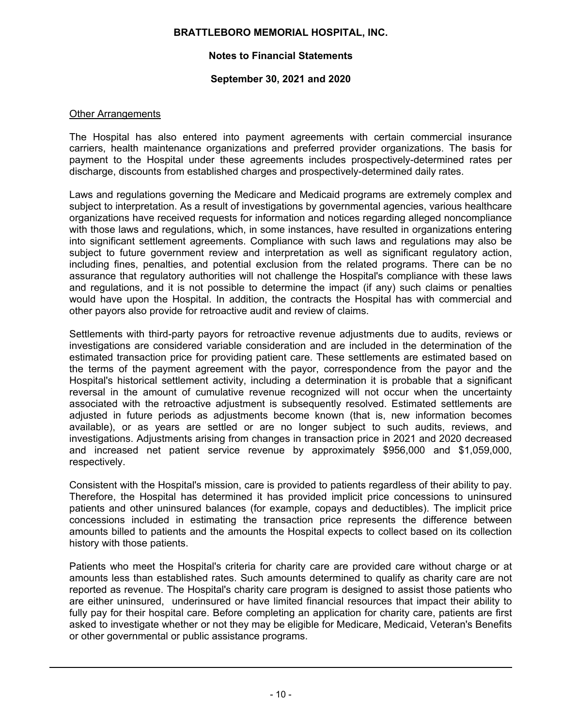# **Notes to Financial Statements**

## **September 30, 2021 and 2020**

#### Other Arrangements

The Hospital has also entered into payment agreements with certain commercial insurance carriers, health maintenance organizations and preferred provider organizations. The basis for payment to the Hospital under these agreements includes prospectively-determined rates per discharge, discounts from established charges and prospectively-determined daily rates.

Laws and regulations governing the Medicare and Medicaid programs are extremely complex and subject to interpretation. As a result of investigations by governmental agencies, various healthcare organizations have received requests for information and notices regarding alleged noncompliance with those laws and regulations, which, in some instances, have resulted in organizations entering into significant settlement agreements. Compliance with such laws and regulations may also be subject to future government review and interpretation as well as significant regulatory action, including fines, penalties, and potential exclusion from the related programs. There can be no assurance that regulatory authorities will not challenge the Hospital's compliance with these laws and regulations, and it is not possible to determine the impact (if any) such claims or penalties would have upon the Hospital. In addition, the contracts the Hospital has with commercial and other payors also provide for retroactive audit and review of claims.

Settlements with third-party payors for retroactive revenue adjustments due to audits, reviews or investigations are considered variable consideration and are included in the determination of the estimated transaction price for providing patient care. These settlements are estimated based on the terms of the payment agreement with the payor, correspondence from the payor and the Hospital's historical settlement activity, including a determination it is probable that a significant reversal in the amount of cumulative revenue recognized will not occur when the uncertainty associated with the retroactive adjustment is subsequently resolved. Estimated settlements are adjusted in future periods as adjustments become known (that is, new information becomes available), or as years are settled or are no longer subject to such audits, reviews, and investigations. Adjustments arising from changes in transaction price in 2021 and 2020 decreased and increased net patient service revenue by approximately \$956,000 and \$1,059,000, respectively.

Consistent with the Hospital's mission, care is provided to patients regardless of their ability to pay. Therefore, the Hospital has determined it has provided implicit price concessions to uninsured patients and other uninsured balances (for example, copays and deductibles). The implicit price concessions included in estimating the transaction price represents the difference between amounts billed to patients and the amounts the Hospital expects to collect based on its collection history with those patients.

Patients who meet the Hospital's criteria for charity care are provided care without charge or at amounts less than established rates. Such amounts determined to qualify as charity care are not reported as revenue. The Hospital's charity care program is designed to assist those patients who are either uninsured, underinsured or have limited financial resources that impact their ability to fully pay for their hospital care. Before completing an application for charity care, patients are first asked to investigate whether or not they may be eligible for Medicare, Medicaid, Veteran's Benefits or other governmental or public assistance programs.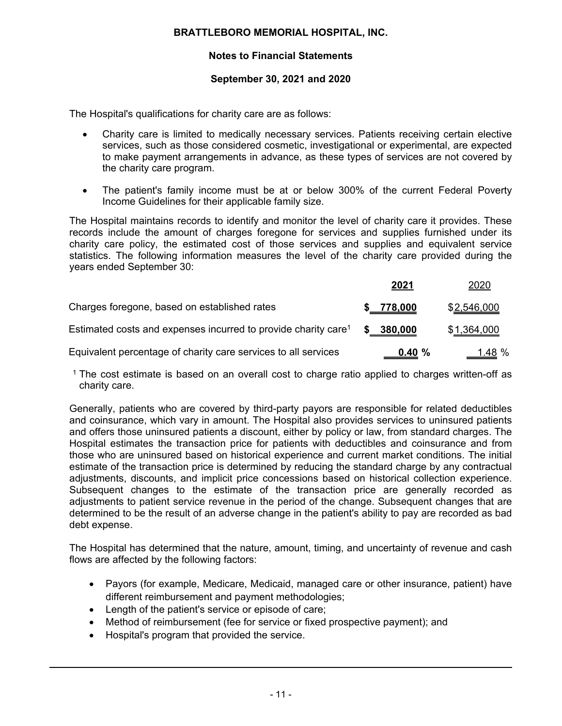# **Notes to Financial Statements**

#### **September 30, 2021 and 2020**

The Hospital's qualifications for charity care are as follows:

- Charity care is limited to medically necessary services. Patients receiving certain elective services, such as those considered cosmetic, investigational or experimental, are expected to make payment arrangements in advance, as these types of services are not covered by the charity care program.
- The patient's family income must be at or below 300% of the current Federal Poverty Income Guidelines for their applicable family size.

The Hospital maintains records to identify and monitor the level of charity care it provides. These records include the amount of charges foregone for services and supplies furnished under its charity care policy, the estimated cost of those services and supplies and equivalent service statistics. The following information measures the level of the charity care provided during the years ended September 30:

|                                                                            | 2021      | 2020                |
|----------------------------------------------------------------------------|-----------|---------------------|
| Charges foregone, based on established rates                               | 778,000   | \$2,546,000         |
| Estimated costs and expenses incurred to provide charity care <sup>1</sup> | 380,000   | \$ <u>1,364,000</u> |
| Equivalent percentage of charity care services to all services             | $0.40 \%$ | <u>__1.48</u> %     |

<sup>1</sup> The cost estimate is based on an overall cost to charge ratio applied to charges written-off as charity care.

Generally, patients who are covered by third-party payors are responsible for related deductibles and coinsurance, which vary in amount. The Hospital also provides services to uninsured patients and offers those uninsured patients a discount, either by policy or law, from standard charges. The Hospital estimates the transaction price for patients with deductibles and coinsurance and from those who are uninsured based on historical experience and current market conditions. The initial estimate of the transaction price is determined by reducing the standard charge by any contractual adjustments, discounts, and implicit price concessions based on historical collection experience. Subsequent changes to the estimate of the transaction price are generally recorded as adjustments to patient service revenue in the period of the change. Subsequent changes that are determined to be the result of an adverse change in the patient's ability to pay are recorded as bad debt expense.

The Hospital has determined that the nature, amount, timing, and uncertainty of revenue and cash flows are affected by the following factors:

- Payors (for example, Medicare, Medicaid, managed care or other insurance, patient) have different reimbursement and payment methodologies;
- Length of the patient's service or episode of care;
- Method of reimbursement (fee for service or fixed prospective payment); and
- Hospital's program that provided the service.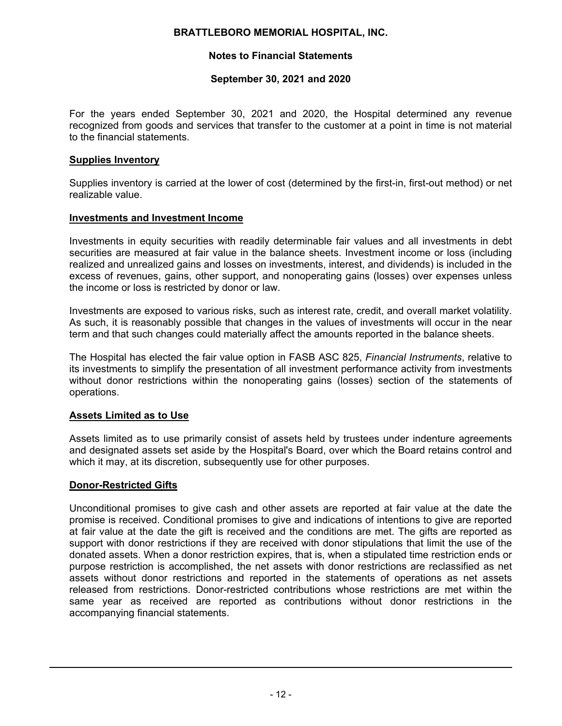# **Notes to Financial Statements**

#### **September 30, 2021 and 2020**

For the years ended September 30, 2021 and 2020, the Hospital determined any revenue recognized from goods and services that transfer to the customer at a point in time is not material to the financial statements.

#### **Supplies Inventory**

Supplies inventory is carried at the lower of cost (determined by the first-in, first-out method) or net realizable value.

#### **Investments and Investment Income**

Investments in equity securities with readily determinable fair values and all investments in debt securities are measured at fair value in the balance sheets. Investment income or loss (including realized and unrealized gains and losses on investments, interest, and dividends) is included in the excess of revenues, gains, other support, and nonoperating gains (losses) over expenses unless the income or loss is restricted by donor or law.

Investments are exposed to various risks, such as interest rate, credit, and overall market volatility. As such, it is reasonably possible that changes in the values of investments will occur in the near term and that such changes could materially affect the amounts reported in the balance sheets.

The Hospital has elected the fair value option in FASB ASC 825, *Financial Instruments*, relative to its investments to simplify the presentation of all investment performance activity from investments without donor restrictions within the nonoperating gains (losses) section of the statements of operations.

## **Assets Limited as to Use**

Assets limited as to use primarily consist of assets held by trustees under indenture agreements and designated assets set aside by the Hospital's Board, over which the Board retains control and which it may, at its discretion, subsequently use for other purposes.

## **Donor-Restricted Gifts**

Unconditional promises to give cash and other assets are reported at fair value at the date the promise is received. Conditional promises to give and indications of intentions to give are reported at fair value at the date the gift is received and the conditions are met. The gifts are reported as support with donor restrictions if they are received with donor stipulations that limit the use of the donated assets. When a donor restriction expires, that is, when a stipulated time restriction ends or purpose restriction is accomplished, the net assets with donor restrictions are reclassified as net assets without donor restrictions and reported in the statements of operations as net assets released from restrictions. Donor-restricted contributions whose restrictions are met within the same year as received are reported as contributions without donor restrictions in the accompanying financial statements.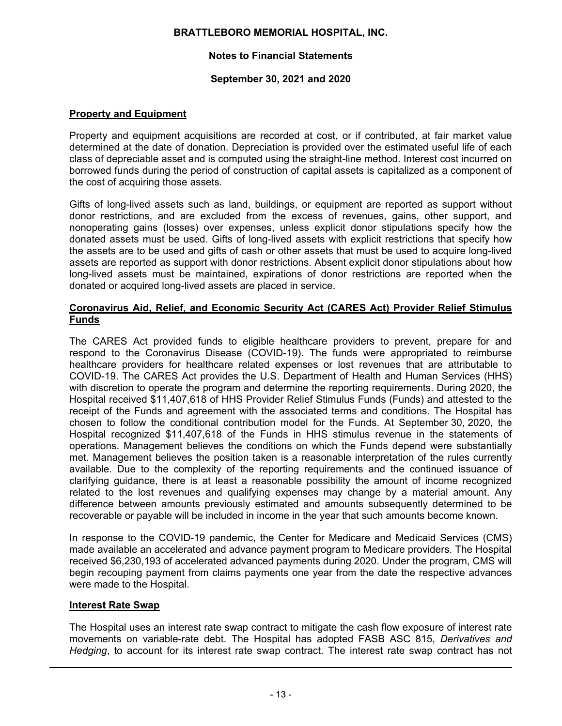# **Notes to Financial Statements**

## **September 30, 2021 and 2020**

# **Property and Equipment**

Property and equipment acquisitions are recorded at cost, or if contributed, at fair market value determined at the date of donation. Depreciation is provided over the estimated useful life of each class of depreciable asset and is computed using the straight-line method. Interest cost incurred on borrowed funds during the period of construction of capital assets is capitalized as a component of the cost of acquiring those assets.

Gifts of long-lived assets such as land, buildings, or equipment are reported as support without donor restrictions, and are excluded from the excess of revenues, gains, other support, and nonoperating gains (losses) over expenses, unless explicit donor stipulations specify how the donated assets must be used. Gifts of long-lived assets with explicit restrictions that specify how the assets are to be used and gifts of cash or other assets that must be used to acquire long-lived assets are reported as support with donor restrictions. Absent explicit donor stipulations about how long-lived assets must be maintained, expirations of donor restrictions are reported when the donated or acquired long-lived assets are placed in service.

#### **Coronavirus Aid, Relief, and Economic Security Act (CARES Act) Provider Relief Stimulus Funds**

The CARES Act provided funds to eligible healthcare providers to prevent, prepare for and respond to the Coronavirus Disease (COVID-19). The funds were appropriated to reimburse healthcare providers for healthcare related expenses or lost revenues that are attributable to COVID-19. The CARES Act provides the U.S. Department of Health and Human Services (HHS) with discretion to operate the program and determine the reporting requirements. During 2020, the Hospital received \$11,407,618 of HHS Provider Relief Stimulus Funds (Funds) and attested to the receipt of the Funds and agreement with the associated terms and conditions. The Hospital has chosen to follow the conditional contribution model for the Funds. At September 30, 2020, the Hospital recognized \$11,407,618 of the Funds in HHS stimulus revenue in the statements of operations. Management believes the conditions on which the Funds depend were substantially met. Management believes the position taken is a reasonable interpretation of the rules currently available. Due to the complexity of the reporting requirements and the continued issuance of clarifying guidance, there is at least a reasonable possibility the amount of income recognized related to the lost revenues and qualifying expenses may change by a material amount. Any difference between amounts previously estimated and amounts subsequently determined to be recoverable or payable will be included in income in the year that such amounts become known.

In response to the COVID-19 pandemic, the Center for Medicare and Medicaid Services (CMS) made available an accelerated and advance payment program to Medicare providers. The Hospital received \$6,230,193 of accelerated advanced payments during 2020. Under the program, CMS will begin recouping payment from claims payments one year from the date the respective advances were made to the Hospital.

## **Interest Rate Swap**

The Hospital uses an interest rate swap contract to mitigate the cash flow exposure of interest rate movements on variable-rate debt. The Hospital has adopted FASB ASC 815, *Derivatives and Hedging*, to account for its interest rate swap contract. The interest rate swap contract has not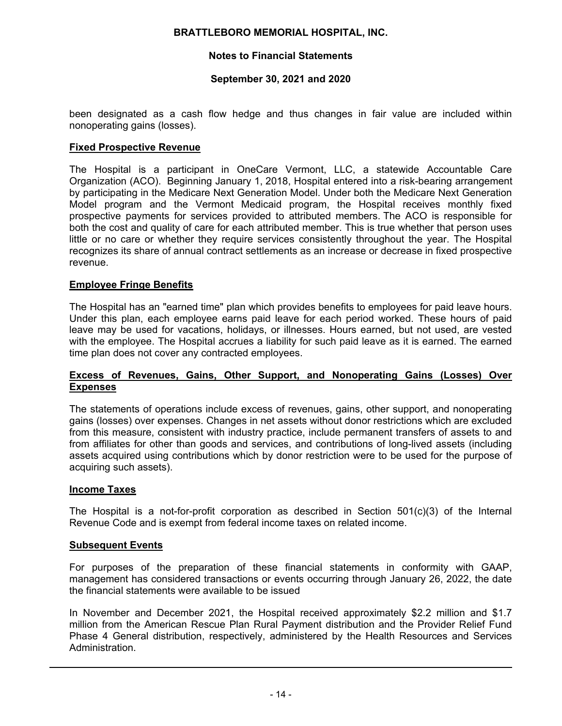## **Notes to Financial Statements**

## **September 30, 2021 and 2020**

been designated as a cash flow hedge and thus changes in fair value are included within nonoperating gains (losses).

## **Fixed Prospective Revenue**

The Hospital is a participant in OneCare Vermont, LLC, a statewide Accountable Care Organization (ACO). Beginning January 1, 2018, Hospital entered into a risk-bearing arrangement by participating in the Medicare Next Generation Model. Under both the Medicare Next Generation Model program and the Vermont Medicaid program, the Hospital receives monthly fixed prospective payments for services provided to attributed members. The ACO is responsible for both the cost and quality of care for each attributed member. This is true whether that person uses little or no care or whether they require services consistently throughout the year. The Hospital recognizes its share of annual contract settlements as an increase or decrease in fixed prospective revenue.

## **Employee Fringe Benefits**

The Hospital has an "earned time" plan which provides benefits to employees for paid leave hours. Under this plan, each employee earns paid leave for each period worked. These hours of paid leave may be used for vacations, holidays, or illnesses. Hours earned, but not used, are vested with the employee. The Hospital accrues a liability for such paid leave as it is earned. The earned time plan does not cover any contracted employees.

#### **Excess of Revenues, Gains, Other Support, and Nonoperating Gains (Losses) Over Expenses**

The statements of operations include excess of revenues, gains, other support, and nonoperating gains (losses) over expenses. Changes in net assets without donor restrictions which are excluded from this measure, consistent with industry practice, include permanent transfers of assets to and from affiliates for other than goods and services, and contributions of long-lived assets (including assets acquired using contributions which by donor restriction were to be used for the purpose of acquiring such assets).

#### **Income Taxes**

The Hospital is a not-for-profit corporation as described in Section 501(c)(3) of the Internal Revenue Code and is exempt from federal income taxes on related income.

#### **Subsequent Events**

For purposes of the preparation of these financial statements in conformity with GAAP, management has considered transactions or events occurring through January 26, 2022, the date the financial statements were available to be issued

In November and December 2021, the Hospital received approximately \$2.2 million and \$1.7 million from the American Rescue Plan Rural Payment distribution and the Provider Relief Fund Phase 4 General distribution, respectively, administered by the Health Resources and Services Administration.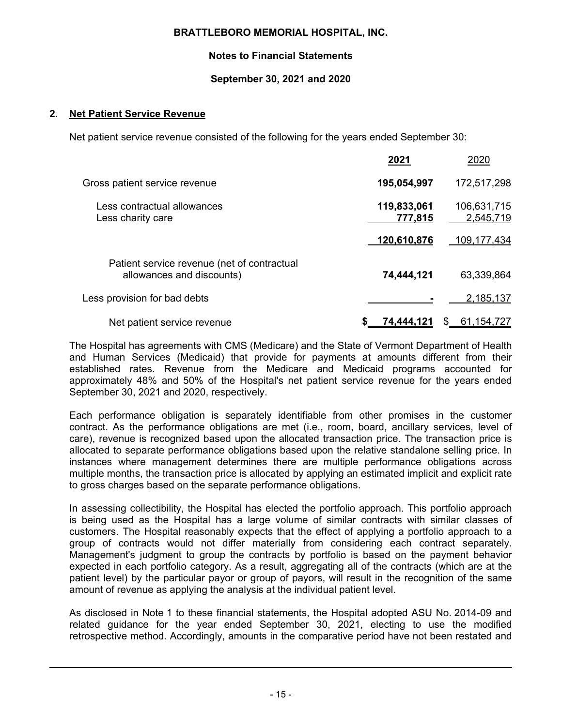# **Notes to Financial Statements**

# **September 30, 2021 and 2020**

# **2. Net Patient Service Revenue**

Net patient service revenue consisted of the following for the years ended September 30:

|                                                                          | 2021                   | 2020                     |
|--------------------------------------------------------------------------|------------------------|--------------------------|
| Gross patient service revenue                                            | 195,054,997            | 172,517,298              |
| Less contractual allowances<br>Less charity care                         | 119,833,061<br>777,815 | 106,631,715<br>2,545,719 |
|                                                                          | 120,610,876            | 109,177,434              |
| Patient service revenue (net of contractual<br>allowances and discounts) | 74,444,121             | 63,339,864               |
| Less provision for bad debts                                             |                        | 2,185,137                |
| Net patient service revenue                                              | 74,444,121             | 61,154,727               |

The Hospital has agreements with CMS (Medicare) and the State of Vermont Department of Health and Human Services (Medicaid) that provide for payments at amounts different from their established rates. Revenue from the Medicare and Medicaid programs accounted for approximately 48% and 50% of the Hospital's net patient service revenue for the years ended September 30, 2021 and 2020, respectively.

Each performance obligation is separately identifiable from other promises in the customer contract. As the performance obligations are met (i.e., room, board, ancillary services, level of care), revenue is recognized based upon the allocated transaction price. The transaction price is allocated to separate performance obligations based upon the relative standalone selling price. In instances where management determines there are multiple performance obligations across multiple months, the transaction price is allocated by applying an estimated implicit and explicit rate to gross charges based on the separate performance obligations.

In assessing collectibility, the Hospital has elected the portfolio approach. This portfolio approach is being used as the Hospital has a large volume of similar contracts with similar classes of customers. The Hospital reasonably expects that the effect of applying a portfolio approach to a group of contracts would not differ materially from considering each contract separately. Management's judgment to group the contracts by portfolio is based on the payment behavior expected in each portfolio category. As a result, aggregating all of the contracts (which are at the patient level) by the particular payor or group of payors, will result in the recognition of the same amount of revenue as applying the analysis at the individual patient level.

As disclosed in Note 1 to these financial statements, the Hospital adopted ASU No. 2014-09 and related guidance for the year ended September 30, 2021, electing to use the modified retrospective method. Accordingly, amounts in the comparative period have not been restated and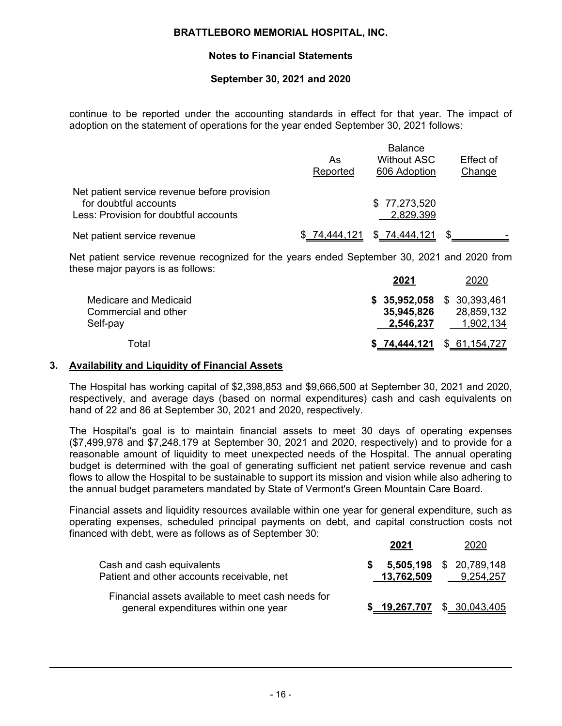# **Notes to Financial Statements**

## **September 30, 2021 and 2020**

continue to be reported under the accounting standards in effect for that year. The impact of adoption on the statement of operations for the year ended September 30, 2021 follows:

|                                              | <b>Balance</b> |                    |           |
|----------------------------------------------|----------------|--------------------|-----------|
|                                              | As             | <b>Without ASC</b> | Effect of |
|                                              | Reported       | 606 Adoption       | Change    |
| Net patient service revenue before provision |                |                    |           |
| for doubtful accounts                        |                | \$77,273,520       |           |
| Less: Provision for doubtful accounts        |                | 2,829,399          |           |
| Net patient service revenue                  | \$74,444,121   | \$74,444,121       |           |

Net patient service revenue recognized for the years ended September 30, 2021 and 2020 from these major payors is as follows:

|                                               | 2021       | 2020                                      |
|-----------------------------------------------|------------|-------------------------------------------|
| Medicare and Medicaid<br>Commercial and other | 35,945,826 | $$35,952,058$ $$30,393,461$<br>28,859,132 |
| Self-pay                                      | 2,546,237  | 1,902,134                                 |
| Total                                         |            | $$74,444,121$ $$61,154,727$               |

#### **3. Availability and Liquidity of Financial Assets**

The Hospital has working capital of \$2,398,853 and \$9,666,500 at September 30, 2021 and 2020, respectively, and average days (based on normal expenditures) cash and cash equivalents on hand of 22 and 86 at September 30, 2021 and 2020, respectively.

The Hospital's goal is to maintain financial assets to meet 30 days of operating expenses (\$7,499,978 and \$7,248,179 at September 30, 2021 and 2020, respectively) and to provide for a reasonable amount of liquidity to meet unexpected needs of the Hospital. The annual operating budget is determined with the goal of generating sufficient net patient service revenue and cash flows to allow the Hospital to be sustainable to support its mission and vision while also adhering to the annual budget parameters mandated by State of Vermont's Green Mountain Care Board.

Financial assets and liquidity resources available within one year for general expenditure, such as operating expenses, scheduled principal payments on debt, and capital construction costs not financed with debt, were as follows as of September 30:

|                                                                                           |    | 2021                          | 2020                                 |
|-------------------------------------------------------------------------------------------|----|-------------------------------|--------------------------------------|
| Cash and cash equivalents<br>Patient and other accounts receivable, net                   | S. | 13,762,509                    | 5,505,198 \$ 20,789,148<br>9,254,257 |
| Financial assets available to meet cash needs for<br>general expenditures within one year |    | $$ 19,267,707$ $$ 30,043,405$ |                                      |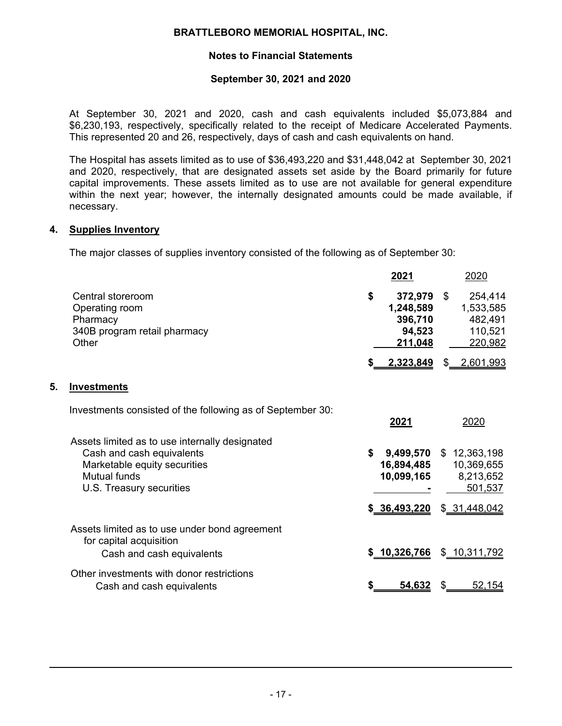# **Notes to Financial Statements**

#### **September 30, 2021 and 2020**

At September 30, 2021 and 2020, cash and cash equivalents included \$5,073,884 and \$6,230,193, respectively, specifically related to the receipt of Medicare Accelerated Payments. This represented 20 and 26, respectively, days of cash and cash equivalents on hand.

The Hospital has assets limited as to use of \$36,493,220 and \$31,448,042 at September 30, 2021 and 2020, respectively, that are designated assets set aside by the Board primarily for future capital improvements. These assets limited as to use are not available for general expenditure within the next year; however, the internally designated amounts could be made available, if necessary.

#### **4. Supplies Inventory**

**5. Investments**

The major classes of supplies inventory consisted of the following as of September 30:

| 2021                    |                              | 2020                                                                    |
|-------------------------|------------------------------|-------------------------------------------------------------------------|
| \$<br>94,523<br>211,048 | - \$                         | 254,414<br>1,533,585<br>482,491<br>110,521<br>220,982                   |
|                         | \$.                          | <u>2,601,993</u>                                                        |
|                         |                              |                                                                         |
| <u>2021</u>             |                              | 2020                                                                    |
| \$<br>10,099,165        |                              | \$12,363,198<br>10,369,655<br>8,213,652<br>501,537                      |
|                         |                              | \$31,448,042                                                            |
|                         |                              | \$ 10,311,792                                                           |
| \$<br><u>54,632</u>     | \$                           | <u>52,154</u>                                                           |
|                         | \$36,493,220<br>\$10,326,766 | 372,979<br>1,248,589<br>396,710<br>2,323,849<br>9,499,570<br>16,894,485 |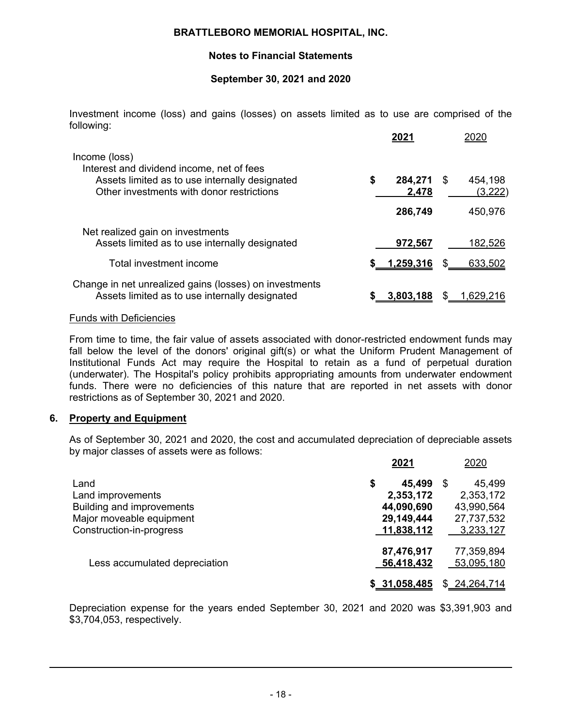# **Notes to Financial Statements**

# **September 30, 2021 and 2020**

Investment income (loss) and gains (losses) on assets limited as to use are comprised of the following:

|                                                                                                                                                           | 2021                   |                         |
|-----------------------------------------------------------------------------------------------------------------------------------------------------------|------------------------|-------------------------|
| Income (loss)<br>Interest and dividend income, net of fees<br>Assets limited as to use internally designated<br>Other investments with donor restrictions | \$<br>284,271<br>2,478 | 454,198<br>S<br>(3,222) |
|                                                                                                                                                           | 286,749                | 450,976                 |
| Net realized gain on investments<br>Assets limited as to use internally designated                                                                        | 972,567                | 182,526                 |
| Total investment income                                                                                                                                   | 1,259,316              | S<br>633,502            |
| Change in net unrealized gains (losses) on investments<br>Assets limited as to use internally designated                                                  | 3,803,188              | S<br>1,629,216          |

#### Funds with Deficiencies

From time to time, the fair value of assets associated with donor-restricted endowment funds may fall below the level of the donors' original gift(s) or what the Uniform Prudent Management of Institutional Funds Act may require the Hospital to retain as a fund of perpetual duration (underwater). The Hospital's policy prohibits appropriating amounts from underwater endowment funds. There were no deficiencies of this nature that are reported in net assets with donor restrictions as of September 30, 2021 and 2020.

## **6. Property and Equipment**

As of September 30, 2021 and 2020, the cost and accumulated depreciation of depreciable assets by major classes of assets were as follows:

|                                  | 2021          | 2020         |
|----------------------------------|---------------|--------------|
| Land                             | \$<br>45,499  | \$<br>45,499 |
| Land improvements                | 2,353,172     | 2,353,172    |
| <b>Building and improvements</b> | 44,090,690    | 43,990,564   |
| Major moveable equipment         | 29,149,444    | 27,737,532   |
| Construction-in-progress         | 11,838,112    | 3,233,127    |
|                                  | 87,476,917    | 77,359,894   |
| Less accumulated depreciation    | 56,418,432    | 53,095,180   |
|                                  | \$ 31,058,485 | \$24,264,714 |

Depreciation expense for the years ended September 30, 2021 and 2020 was \$3,391,903 and \$3,704,053, respectively.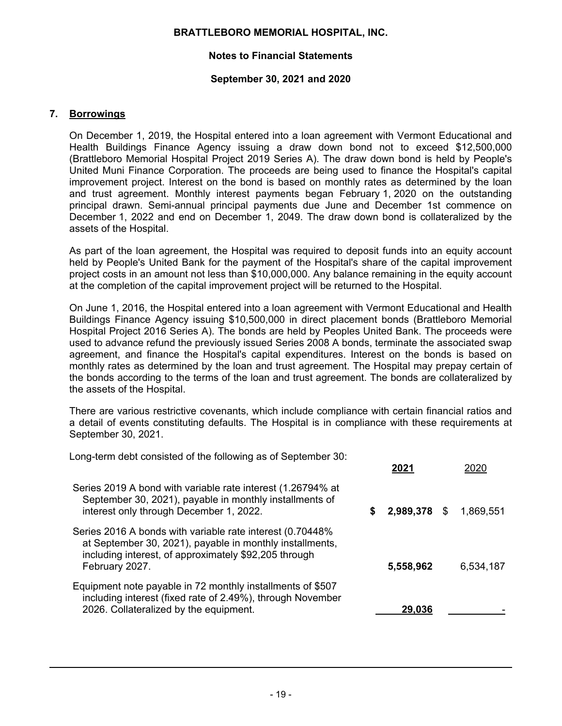# **Notes to Financial Statements**

## **September 30, 2021 and 2020**

# **7. Borrowings**

On December 1, 2019, the Hospital entered into a loan agreement with Vermont Educational and Health Buildings Finance Agency issuing a draw down bond not to exceed \$12,500,000 (Brattleboro Memorial Hospital Project 2019 Series A). The draw down bond is held by People's United Muni Finance Corporation. The proceeds are being used to finance the Hospital's capital improvement project. Interest on the bond is based on monthly rates as determined by the loan and trust agreement. Monthly interest payments began February 1, 2020 on the outstanding principal drawn. Semi-annual principal payments due June and December 1st commence on December 1, 2022 and end on December 1, 2049. The draw down bond is collateralized by the assets of the Hospital.

As part of the loan agreement, the Hospital was required to deposit funds into an equity account held by People's United Bank for the payment of the Hospital's share of the capital improvement project costs in an amount not less than \$10,000,000. Any balance remaining in the equity account at the completion of the capital improvement project will be returned to the Hospital.

On June 1, 2016, the Hospital entered into a loan agreement with Vermont Educational and Health Buildings Finance Agency issuing \$10,500,000 in direct placement bonds (Brattleboro Memorial Hospital Project 2016 Series A). The bonds are held by Peoples United Bank. The proceeds were used to advance refund the previously issued Series 2008 A bonds, terminate the associated swap agreement, and finance the Hospital's capital expenditures. Interest on the bonds is based on monthly rates as determined by the loan and trust agreement. The Hospital may prepay certain of the bonds according to the terms of the loan and trust agreement. The bonds are collateralized by the assets of the Hospital.

There are various restrictive covenants, which include compliance with certain financial ratios and a detail of events constituting defaults. The Hospital is in compliance with these requirements at September 30, 2021.

Long-term debt consisted of the following as of September 30:

|                                                                                                                                                                                                   |   | 2021         | วกวก      |
|---------------------------------------------------------------------------------------------------------------------------------------------------------------------------------------------------|---|--------------|-----------|
| Series 2019 A bond with variable rate interest (1.26794% at<br>September 30, 2021), payable in monthly installments of<br>interest only through December 1, 2022.                                 | S | 2,989,378 \$ | 1,869,551 |
| Series 2016 A bonds with variable rate interest (0.70448%)<br>at September 30, 2021), payable in monthly installments,<br>including interest, of approximately \$92,205 through<br>February 2027. |   | 5,558,962    | 6,534,187 |
| Equipment note payable in 72 monthly installments of \$507<br>including interest (fixed rate of 2.49%), through November<br>2026. Collateralized by the equipment.                                |   | 29,036       |           |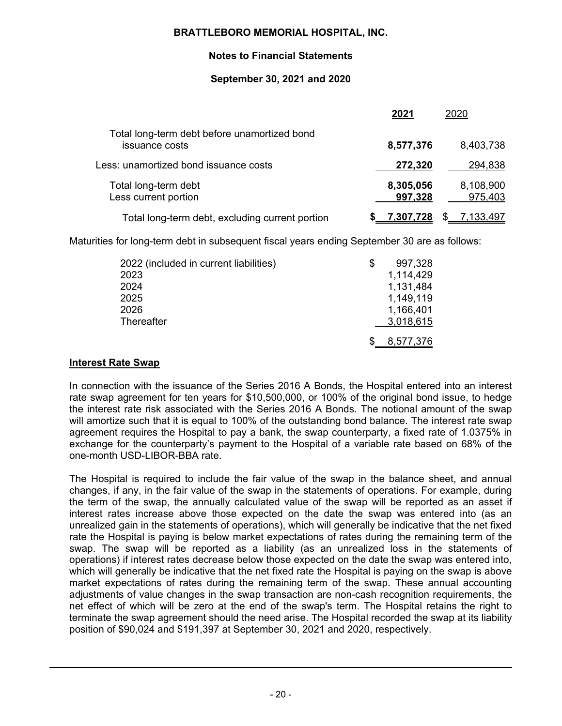# **Notes to Financial Statements**

# **September 30, 2021 and 2020**

|                                                                | 2021                 | 2020                 |
|----------------------------------------------------------------|----------------------|----------------------|
| Total long-term debt before unamortized bond<br>issuance costs | 8,577,376            | 8,403,738            |
| Less: unamortized bond issuance costs                          | 272,320              | 294,838              |
| Total long-term debt<br>Less current portion                   | 8,305,056<br>997,328 | 8,108,900<br>975,403 |
| Total long-term debt, excluding current portion                | 7,307,728            | 7,133,497            |

Maturities for long-term debt in subsequent fiscal years ending September 30 are as follows:

| 2022 (included in current liabilities) | S | 997,328   |
|----------------------------------------|---|-----------|
|                                        |   |           |
| 2023                                   |   | 1,114,429 |
| 2024                                   |   | 1,131,484 |
| 2025                                   |   | 1,149,119 |
| 2026                                   |   | 1,166,401 |
| Thereafter                             |   | 3,018,615 |
|                                        |   |           |
|                                        |   | 8,577,376 |

# **Interest Rate Swap**

In connection with the issuance of the Series 2016 A Bonds, the Hospital entered into an interest rate swap agreement for ten years for \$10,500,000, or 100% of the original bond issue, to hedge the interest rate risk associated with the Series 2016 A Bonds. The notional amount of the swap will amortize such that it is equal to 100% of the outstanding bond balance. The interest rate swap agreement requires the Hospital to pay a bank, the swap counterparty, a fixed rate of 1.0375% in exchange for the counterparty's payment to the Hospital of a variable rate based on 68% of the one-month USD-LIBOR-BBA rate.

The Hospital is required to include the fair value of the swap in the balance sheet, and annual changes, if any, in the fair value of the swap in the statements of operations. For example, during the term of the swap, the annually calculated value of the swap will be reported as an asset if interest rates increase above those expected on the date the swap was entered into (as an unrealized gain in the statements of operations), which will generally be indicative that the net fixed rate the Hospital is paying is below market expectations of rates during the remaining term of the swap. The swap will be reported as a liability (as an unrealized loss in the statements of operations) if interest rates decrease below those expected on the date the swap was entered into, which will generally be indicative that the net fixed rate the Hospital is paying on the swap is above market expectations of rates during the remaining term of the swap. These annual accounting adjustments of value changes in the swap transaction are non-cash recognition requirements, the net effect of which will be zero at the end of the swap's term. The Hospital retains the right to terminate the swap agreement should the need arise. The Hospital recorded the swap at its liability position of \$90,024 and \$191,397 at September 30, 2021 and 2020, respectively.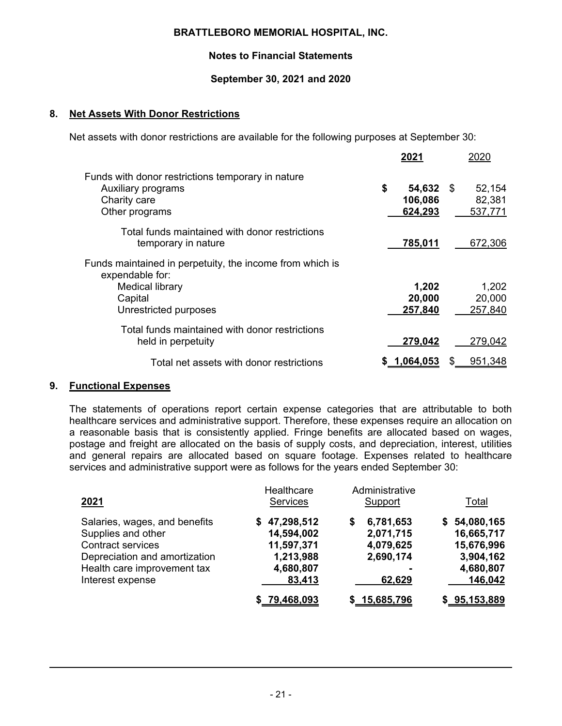# **Notes to Financial Statements**

# **September 30, 2021 and 2020**

# **8. Net Assets With Donor Restrictions**

Net assets with donor restrictions are available for the following purposes at September 30:

|                                                                                                                                           | 2021                       |           | 2020                        |
|-------------------------------------------------------------------------------------------------------------------------------------------|----------------------------|-----------|-----------------------------|
| Funds with donor restrictions temporary in nature<br>Auxiliary programs<br>Charity care<br>Other programs                                 | \$<br>106,086<br>624,293   | 54,632 \$ | 52,154<br>82,381<br>537,771 |
| Total funds maintained with donor restrictions<br>temporary in nature                                                                     | 785,011                    |           | 672,306                     |
| Funds maintained in perpetuity, the income from which is<br>expendable for:<br><b>Medical library</b><br>Capital<br>Unrestricted purposes | 1,202<br>20,000<br>257,840 |           | 1,202<br>20,000<br>257,840  |
| Total funds maintained with donor restrictions<br>held in perpetuity                                                                      | 279,042                    |           | 279,042                     |
| Total net assets with donor restrictions                                                                                                  | 1,064,053<br>S.            |           | 951,348                     |

## **9. Functional Expenses**

The statements of operations report certain expense categories that are attributable to both healthcare services and administrative support. Therefore, these expenses require an allocation on a reasonable basis that is consistently applied. Fringe benefits are allocated based on wages, postage and freight are allocated on the basis of supply costs, and depreciation, interest, utilities and general repairs are allocated based on square footage. Expenses related to healthcare services and administrative support were as follows for the years ended September 30:

| 2021                                                                                                                                                                | Healthcare<br><b>Services</b>                                                    | Administrative<br>Support                                       | <u>Total</u>                                                                  |
|---------------------------------------------------------------------------------------------------------------------------------------------------------------------|----------------------------------------------------------------------------------|-----------------------------------------------------------------|-------------------------------------------------------------------------------|
| Salaries, wages, and benefits<br>Supplies and other<br><b>Contract services</b><br>Depreciation and amortization<br>Health care improvement tax<br>Interest expense | 47,298,512<br>S.<br>14,594,002<br>11,597,371<br>1,213,988<br>4,680,807<br>83,413 | 6,781,653<br>S<br>2,071,715<br>4,079,625<br>2,690,174<br>62,629 | \$54,080,165<br>16,665,717<br>15,676,996<br>3,904,162<br>4,680,807<br>146,042 |
|                                                                                                                                                                     | \$79,468,093                                                                     | \$15,685,796                                                    | \$95,153,889                                                                  |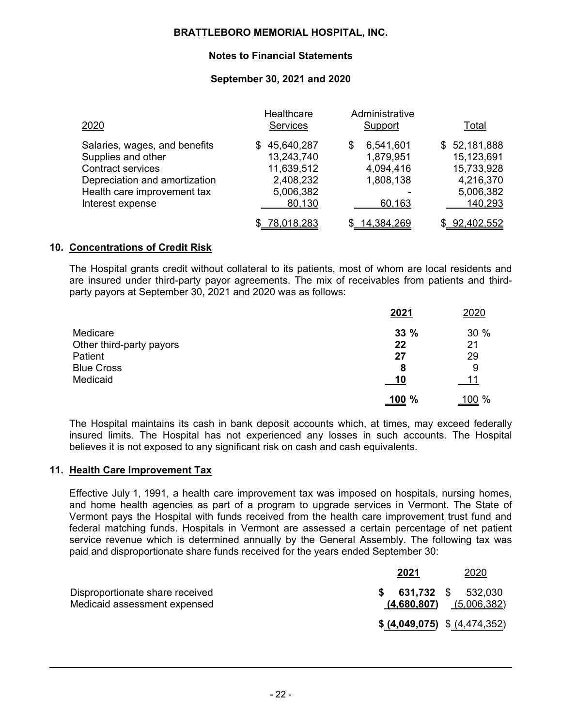# **Notes to Financial Statements**

# **September 30, 2021 and 2020**

| 2020                                                                                                                                                                | Healthcare<br>Services                                                       | Administrative<br>Support                                       | <u>Total</u>                                                                  |
|---------------------------------------------------------------------------------------------------------------------------------------------------------------------|------------------------------------------------------------------------------|-----------------------------------------------------------------|-------------------------------------------------------------------------------|
| Salaries, wages, and benefits<br>Supplies and other<br><b>Contract services</b><br>Depreciation and amortization<br>Health care improvement tax<br>Interest expense | \$45,640,287<br>13,243,740<br>11,639,512<br>2,408,232<br>5,006,382<br>80,130 | 6,541,601<br>S<br>1,879,951<br>4,094,416<br>1,808,138<br>60,163 | \$52,181,888<br>15,123,691<br>15,733,928<br>4,216,370<br>5,006,382<br>140,293 |
|                                                                                                                                                                     | \$78,018,283                                                                 | \$14,384,269                                                    | \$02,402,552                                                                  |

## **10. Concentrations of Credit Risk**

The Hospital grants credit without collateral to its patients, most of whom are local residents and are insured under third-party payor agreements. The mix of receivables from patients and thirdparty payors at September 30, 2021 and 2020 was as follows:

|                          | 2021          | 2020          |
|--------------------------|---------------|---------------|
| Medicare                 | 33%           | 30%           |
| Other third-party payors | 22            | 21            |
| Patient                  | 27            | 29            |
| <b>Blue Cross</b>        | 8             | 9             |
| Medicaid                 | <u> 10</u>    | 11            |
|                          | <u>.100</u> % | <u>.100</u> % |

The Hospital maintains its cash in bank deposit accounts which, at times, may exceed federally insured limits. The Hospital has not experienced any losses in such accounts. The Hospital believes it is not exposed to any significant risk on cash and cash equivalents.

## **11. Health Care Improvement Tax**

Effective July 1, 1991, a health care improvement tax was imposed on hospitals, nursing homes, and home health agencies as part of a program to upgrade services in Vermont. The State of Vermont pays the Hospital with funds received from the health care improvement trust fund and federal matching funds. Hospitals in Vermont are assessed a certain percentage of net patient service revenue which is determined annually by the General Assembly. The following tax was paid and disproportionate share funds received for the years ended September 30:

|                                                                 | 2021                          | 2020                                              |
|-----------------------------------------------------------------|-------------------------------|---------------------------------------------------|
| Disproportionate share received<br>Medicaid assessment expensed |                               | 631,732 \$ 532,030<br>$(4,680,807)$ $(5,006,382)$ |
|                                                                 | \$ (4,049,075) \$ (4,474,352) |                                                   |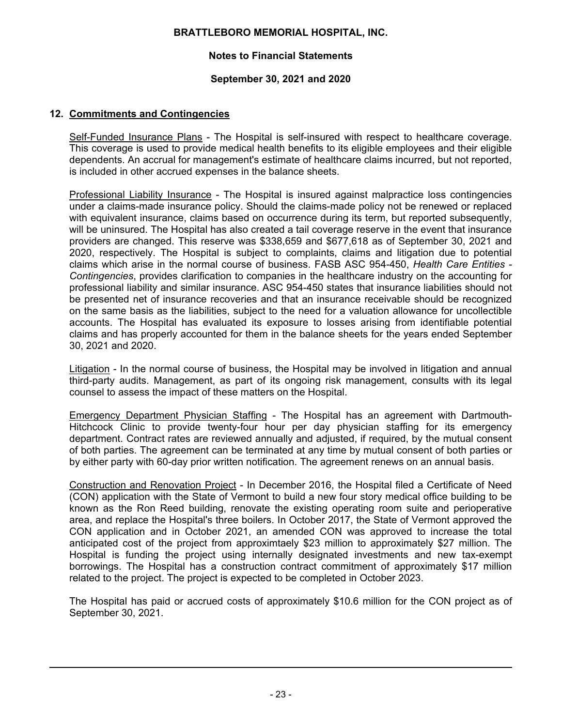# **Notes to Financial Statements**

## **September 30, 2021 and 2020**

# **12. Commitments and Contingencies**

Self-Funded Insurance Plans - The Hospital is self-insured with respect to healthcare coverage. This coverage is used to provide medical health benefits to its eligible employees and their eligible dependents. An accrual for management's estimate of healthcare claims incurred, but not reported, is included in other accrued expenses in the balance sheets.

Professional Liability Insurance - The Hospital is insured against malpractice loss contingencies under a claims-made insurance policy. Should the claims-made policy not be renewed or replaced with equivalent insurance, claims based on occurrence during its term, but reported subsequently, will be uninsured. The Hospital has also created a tail coverage reserve in the event that insurance providers are changed. This reserve was \$338,659 and \$677,618 as of September 30, 2021 and 2020, respectively. The Hospital is subject to complaints, claims and litigation due to potential claims which arise in the normal course of business. FASB ASC 954-450, *Health Care Entities - Contingencies*, provides clarification to companies in the healthcare industry on the accounting for professional liability and similar insurance. ASC 954-450 states that insurance liabilities should not be presented net of insurance recoveries and that an insurance receivable should be recognized on the same basis as the liabilities, subject to the need for a valuation allowance for uncollectible accounts. The Hospital has evaluated its exposure to losses arising from identifiable potential claims and has properly accounted for them in the balance sheets for the years ended September 30, 2021 and 2020.

Litigation - In the normal course of business, the Hospital may be involved in litigation and annual third-party audits. Management, as part of its ongoing risk management, consults with its legal counsel to assess the impact of these matters on the Hospital.

Emergency Department Physician Staffing - The Hospital has an agreement with Dartmouth-Hitchcock Clinic to provide twenty-four hour per day physician staffing for its emergency department. Contract rates are reviewed annually and adjusted, if required, by the mutual consent of both parties. The agreement can be terminated at any time by mutual consent of both parties or by either party with 60-day prior written notification. The agreement renews on an annual basis.

Construction and Renovation Project - In December 2016, the Hospital filed a Certificate of Need (CON) application with the State of Vermont to build a new four story medical office building to be known as the Ron Reed building, renovate the existing operating room suite and perioperative area, and replace the Hospital's three boilers. In October 2017, the State of Vermont approved the CON application and in October 2021, an amended CON was approved to increase the total anticipated cost of the project from approximtaely \$23 million to approximately \$27 million. The Hospital is funding the project using internally designated investments and new tax-exempt borrowings. The Hospital has a construction contract commitment of approximately \$17 million related to the project. The project is expected to be completed in October 2023.

The Hospital has paid or accrued costs of approximately \$10.6 million for the CON project as of September 30, 2021.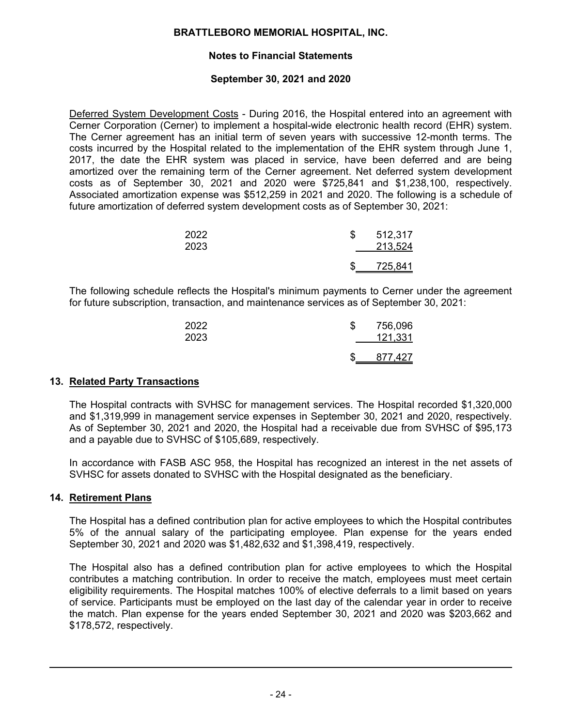# **Notes to Financial Statements**

# **September 30, 2021 and 2020**

Deferred System Development Costs - During 2016, the Hospital entered into an agreement with Cerner Corporation (Cerner) to implement a hospital-wide electronic health record (EHR) system. The Cerner agreement has an initial term of seven years with successive 12-month terms. The costs incurred by the Hospital related to the implementation of the EHR system through June 1, 2017, the date the EHR system was placed in service, have been deferred and are being amortized over the remaining term of the Cerner agreement. Net deferred system development costs as of September 30, 2021 and 2020 were \$725,841 and \$1,238,100, respectively. Associated amortization expense was \$512,259 in 2021 and 2020. The following is a schedule of future amortization of deferred system development costs as of September 30, 2021:

| 2022<br>2023 | S | 512,317<br>213,524 |
|--------------|---|--------------------|
|              | J | 725,841            |

The following schedule reflects the Hospital's minimum payments to Cerner under the agreement for future subscription, transaction, and maintenance services as of September 30, 2021:

| 2022<br>2023 | 756,096<br>121,331 |
|--------------|--------------------|
|              | 877,427            |

# **13. Related Party Transactions**

The Hospital contracts with SVHSC for management services. The Hospital recorded \$1,320,000 and \$1,319,999 in management service expenses in September 30, 2021 and 2020, respectively. As of September 30, 2021 and 2020, the Hospital had a receivable due from SVHSC of \$95,173 and a payable due to SVHSC of \$105,689, respectively.

In accordance with FASB ASC 958, the Hospital has recognized an interest in the net assets of SVHSC for assets donated to SVHSC with the Hospital designated as the beneficiary.

## **14. Retirement Plans**

The Hospital has a defined contribution plan for active employees to which the Hospital contributes 5% of the annual salary of the participating employee. Plan expense for the years ended September 30, 2021 and 2020 was \$1,482,632 and \$1,398,419, respectively.

The Hospital also has a defined contribution plan for active employees to which the Hospital contributes a matching contribution. In order to receive the match, employees must meet certain eligibility requirements. The Hospital matches 100% of elective deferrals to a limit based on years of service. Participants must be employed on the last day of the calendar year in order to receive the match. Plan expense for the years ended September 30, 2021 and 2020 was \$203,662 and \$178,572, respectively.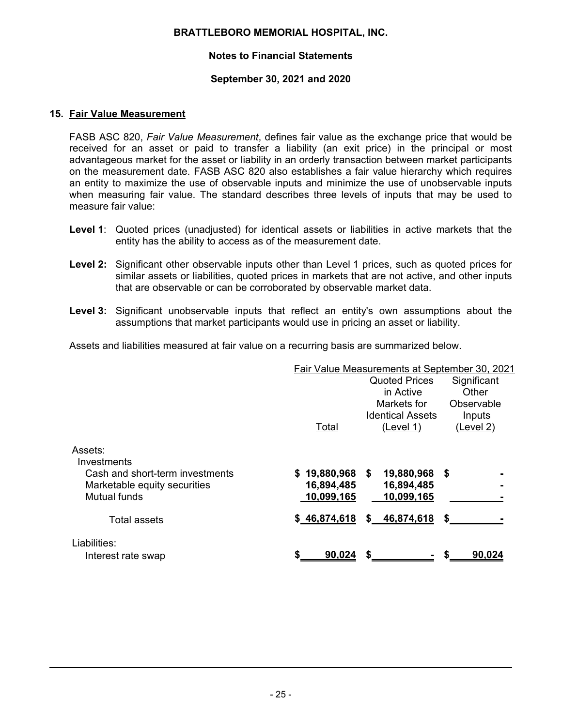# **Notes to Financial Statements**

#### **September 30, 2021 and 2020**

#### **15. Fair Value Measurement**

FASB ASC 820, *Fair Value Measurement*, defines fair value as the exchange price that would be received for an asset or paid to transfer a liability (an exit price) in the principal or most advantageous market for the asset or liability in an orderly transaction between market participants on the measurement date. FASB ASC 820 also establishes a fair value hierarchy which requires an entity to maximize the use of observable inputs and minimize the use of unobservable inputs when measuring fair value. The standard describes three levels of inputs that may be used to measure fair value:

- **Level 1**: Quoted prices (unadjusted) for identical assets or liabilities in active markets that the entity has the ability to access as of the measurement date.
- **Level 2:** Significant other observable inputs other than Level 1 prices, such as quoted prices for similar assets or liabilities, quoted prices in markets that are not active, and other inputs that are observable or can be corroborated by observable market data.
- **Level 3:** Significant unobservable inputs that reflect an entity's own assumptions about the assumptions that market participants would use in pricing an asset or liability.

Assets and liabilities measured at fair value on a recurring basis are summarized below.

|                                 | Fair Value Measurements at September 30, 2021 |                         |             |
|---------------------------------|-----------------------------------------------|-------------------------|-------------|
|                                 |                                               | <b>Quoted Prices</b>    | Significant |
|                                 |                                               | in Active               | Other       |
|                                 |                                               | Markets for             | Observable  |
|                                 |                                               | <b>Identical Assets</b> | Inputs      |
|                                 | Total                                         | (Level 1)               | (Level 2)   |
| Assets:                         |                                               |                         |             |
| Investments                     |                                               |                         |             |
| Cash and short-term investments | \$19,880,968                                  | 19,880,968 \$<br>S.     |             |
| Marketable equity securities    | 16,894,485                                    | 16,894,485              |             |
| Mutual funds                    | 10,099,165                                    | 10,099,165              |             |
| <b>Total assets</b>             | \$46,874,618                                  | \$ 46,874,618           |             |
| Liabilities:                    |                                               |                         |             |
| Interest rate swap              | \$<br>90,024                                  | \$                      | 90,024      |